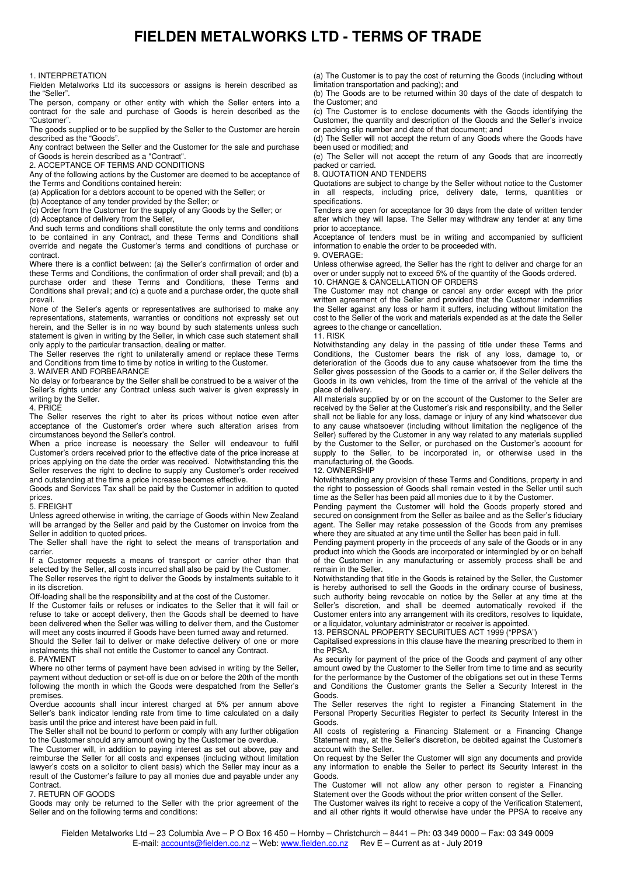# **FIELDEN METALWORKS LTD - TERMS OF TRADE**

# 1. INTERPRETATION

Fielden Metalworks Ltd its successors or assigns is herein described as the "Seller".

The person, company or other entity with which the Seller enters into a contract for the sale and purchase of Goods is herein described as the "Customer".

The goods supplied or to be supplied by the Seller to the Customer are herein described as the "Goods".

Any contract between the Seller and the Customer for the sale and purchase of Goods is herein described as a "Contract".

2. ACCEPTANCE OF TERMS AND CONDITIONS

Any of the following actions by the Customer are deemed to be acceptance of the Terms and Conditions contained herein:

(a) Application for a debtors account to be opened with the Seller; or

(b) Acceptance of any tender provided by the Seller; or

(c) Order from the Customer for the supply of any Goods by the Seller; or

(d) Acceptance of delivery from the Seller,

And such terms and conditions shall constitute the only terms and conditions to be contained in any Contract, and these Terms and Conditions shall override and negate the Customer's terms and conditions of purchase or contract.

Where there is a conflict between: (a) the Seller's confirmation of order and these Terms and Conditions, the confirmation of order shall prevail; and (b) a purchase order and these Terms and Conditions, these Terms and Conditions shall prevail; and (c) a quote and a purchase order, the quote shall prevail.

None of the Seller's agents or representatives are authorised to make any representations, statements, warranties or conditions not expressly set out herein, and the Seller is in no way bound by such statements unless such statement is given in writing by the Seller, in which case such statement shall only apply to the particular transaction, dealing or matter.

The Seller reserves the right to unilaterally amend or replace these Terms and Conditions from time to time by notice in writing to the Customer.

3. WAIVER AND FORBEARANCE

No delay or forbearance by the Seller shall be construed to be a waiver of the Seller's rights under any Contract unless such waiver is given expressly in writing by the Seller.

4. PRICE

The Seller reserves the right to alter its prices without notice even after acceptance of the Customer's order where such alteration arises from circumstances beyond the Seller's control.

When a price increase is necessary the Seller will endeavour to fulfil Customer's orders received prior to the effective date of the price increase at prices applying on the date the order was received. Notwithstanding this the Seller reserves the right to decline to supply any Customer's order received and outstanding at the time a price increase becomes effective.

Goods and Services Tax shall be paid by the Customer in addition to quoted prices.

## 5. FREIGHT

Unless agreed otherwise in writing, the carriage of Goods within New Zealand will be arranged by the Seller and paid by the Customer on invoice from the Seller in addition to quoted prices.

The Seller shall have the right to select the means of transportation and carrier.

If a Customer requests a means of transport or carrier other than that selected by the Seller, all costs incurred shall also be paid by the Customer. The Seller reserves the right to deliver the Goods by instalments suitable to it in its discretion.

Off-loading shall be the responsibility and at the cost of the Customer.

If the Customer fails or refuses or indicates to the Seller that it will fail or refuse to take or accept delivery, then the Goods shall be deemed to have been delivered when the Seller was willing to deliver them, and the Customer will meet any costs incurred if Goods have been turned away and returned.

Should the Seller fail to deliver or make defective delivery of one or more instalments this shall not entitle the Customer to cancel any Contract. 6. PAYMENT

Where no other terms of payment have been advised in writing by the Seller, payment without deduction or set-off is due on or before the 20th of the month following the month in which the Goods were despatched from the Seller's premises.

Overdue accounts shall incur interest charged at 5% per annum above Seller's bank indicator lending rate from time to time calculated on a daily basis until the price and interest have been paid in full.

The Seller shall not be bound to perform or comply with any further obligation to the Customer should any amount owing by the Customer be overdue.

The Customer will, in addition to paying interest as set out above, pay and reimburse the Seller for all costs and expenses (including without limitation lawyer's costs on a solicitor to client basis) which the Seller may incur as a result of the Customer's failure to pay all monies due and payable under any **Contract** 

#### 7. RETURN OF GOODS

Goods may only be returned to the Seller with the prior agreement of the Seller and on the following terms and conditions:

(a) The Customer is to pay the cost of returning the Goods (including without limitation transportation and packing); and

(b) The Goods are to be returned within 30 days of the date of despatch to the Customer; and

(c) The Customer is to enclose documents with the Goods identifying the Customer, the quantity and description of the Goods and the Seller's invoice or packing slip number and date of that document; and

(d) The Seller will not accept the return of any Goods where the Goods have been used or modified; and

(e) The Seller will not accept the return of any Goods that are incorrectly packed or carried.

8. QUOTATION AND TENDERS

Quotations are subject to change by the Seller without notice to the Customer in all respects, including price, delivery date, terms, quantities or specifications.

Tenders are open for acceptance for 30 days from the date of written tender after which they will lapse. The Seller may withdraw any tender at any time prior to acceptance.

Acceptance of tenders must be in writing and accompanied by sufficient information to enable the order to be proceeded with.

9. OVERAGE:

Unless otherwise agreed, the Seller has the right to deliver and charge for an over or under supply not to exceed 5% of the quantity of the Goods ordered. 10. CHANGE & CANCELLATION OF ORDERS

The Customer may not change or cancel any order except with the prior written agreement of the Seller and provided that the Customer indemnifies the Seller against any loss or harm it suffers, including without limitation the cost to the Seller of the work and materials expended as at the date the Seller agrees to the change or cancellation.

### 11. RISK

Notwithstanding any delay in the passing of title under these Terms and Conditions, the Customer bears the risk of any loss, damage to, or deterioration of the Goods due to any cause whatsoever from the time the Seller gives possession of the Goods to a carrier or, if the Seller delivers the Goods in its own vehicles, from the time of the arrival of the vehicle at the place of delivery.

All materials supplied by or on the account of the Customer to the Seller are received by the Seller at the Customer's risk and responsibility, and the Seller shall not be liable for any loss, damage or injury of any kind whatsoever due to any cause whatsoever (including without limitation the negligence of the Seller) suffered by the Customer in any way related to any materials supplied by the Customer to the Seller, or purchased on the Customer's account for supply to the Seller, to be incorporated in, or otherwise used in the manufacturing of, the Goods.

### 12. OWNERSHIP

Notwithstanding any provision of these Terms and Conditions, property in and the right to possession of Goods shall remain vested in the Seller until such time as the Seller has been paid all monies due to it by the Customer.

Pending payment the Customer will hold the Goods properly stored and secured on consignment from the Seller as bailee and as the Seller's fiduciary agent. The Seller may retake possession of the Goods from any premises where they are situated at any time until the Seller has been paid in full.

Pending payment property in the proceeds of any sale of the Goods or in any product into which the Goods are incorporated or intermingled by or on behalf of the Customer in any manufacturing or assembly process shall be and remain in the Seller.

Notwithstanding that title in the Goods is retained by the Seller, the Customer is hereby authorised to sell the Goods in the ordinary course of business, such authority being revocable on notice by the Seller at any time at the Seller's discretion, and shall be deemed automatically revoked if the Customer enters into any arrangement with its creditors, resolves to liquidate, or a liquidator, voluntary administrator or receiver is appointed.

13. PERSONAL PROPERTY SECURITUES ACT 1999 ("PPSA")

Capitalised expressions in this clause have the meaning prescribed to them in the PPSA.

As security for payment of the price of the Goods and payment of any other amount owed by the Customer to the Seller from time to time and as security for the performance by the Customer of the obligations set out in these Terms and Conditions the Customer grants the Seller a Security Interest in the Goods.

The Seller reserves the right to register a Financing Statement in the Personal Property Securities Register to perfect its Security Interest in the Goods.

All costs of registering a Financing Statement or a Financing Change Statement may, at the Seller's discretion, be debited against the Customer's account with the Seller.

On request by the Seller the Customer will sign any documents and provide any information to enable the Seller to perfect its Security Interest in the Goods.

The Customer will not allow any other person to register a Financing Statement over the Goods without the prior written consent of the Seller.

The Customer waives its right to receive a copy of the Verification Statement, and all other rights it would otherwise have under the PPSA to receive any

Fielden Metalworks Ltd – 23 Columbia Ave – P O Box 16 450 – Hornby – Christchurch – 8441 – Ph: 03 349 0000 – Fax: 03 349 0009 E-mail: accounts@fielden.co.nz - Web: www.fielden.co.nz Rev E - Current as at - July 2019